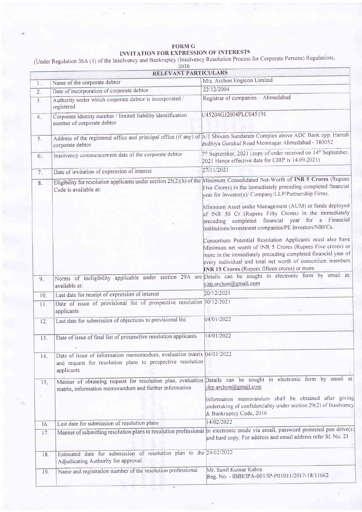## FORM G INVITATION FOR EXPRESSION OF INTEREST!

(Under Regulation 36A (1) of the Insolvency and Bankruptcy (Insolvency Resolution Process for Corporate Persons) Regulations

|                 | RELEVANT PARTICULARS                                                                                                                                  |                                                                                                                                                                                                                                                                                                         |  |
|-----------------|-------------------------------------------------------------------------------------------------------------------------------------------------------|---------------------------------------------------------------------------------------------------------------------------------------------------------------------------------------------------------------------------------------------------------------------------------------------------------|--|
| 1.              | Name of the corporate debtor                                                                                                                          | M/s. Archon Engicon Limited                                                                                                                                                                                                                                                                             |  |
| 2.              | Date of incorporation of corporate debtor                                                                                                             | 22/12/2004                                                                                                                                                                                                                                                                                              |  |
| 3.              | Authority under which corporate debtor is incorporated /<br>registered                                                                                | Registrar of companies - Ahmedabad                                                                                                                                                                                                                                                                      |  |
| 4.              | Corporate identity number / limited liability identification<br>number of corporate debtor                                                            | U45204GJ2004PLC045191                                                                                                                                                                                                                                                                                   |  |
| 5.              | Address of the registered office and principal office (if any) of A/1 Shivam Sundaram Complex above ADC Bank opp. Haresh<br>corporate debtor          | dudhiya Gurukul Road Memnagar Ahmedabad - 380052                                                                                                                                                                                                                                                        |  |
| 6.              | Insolvency commencement date of the corporate debtor                                                                                                  | 7 <sup>th</sup> September, 2021 (copy of order received on 14 <sup>th</sup> September,<br>2021 Hence effective date for CIRP is 14.09.2021)                                                                                                                                                             |  |
| 7.              | Date of invitation of expression of interest                                                                                                          | 27/11/2021                                                                                                                                                                                                                                                                                              |  |
| 8.              | Eligibility for resolution applicants under section $25(2)(h)$ of the Minimum Consolidated Net-Worth of INR 5 Crores (Rupees<br>Code is available at: | Five Crores) in the immediately preceding completed financial<br>year for Investor(s)/ Company/LLP/Partnership Firms.                                                                                                                                                                                   |  |
|                 |                                                                                                                                                       | Minimum Asset under Management (AUM) or funds deployed<br>of INR 50 Cr (Rupees Fifty Crores) in the immediately<br>preceding completed financial year for a Financial<br>Institutions/investment companies/PE Investors/NBFCs.                                                                          |  |
|                 |                                                                                                                                                       | Consortium Potential Resolution Applicants must also have<br>Minimum net worth of INR 5 Crores (Rupees Five crores) or<br>more in the immediately preceding completed financial year of<br>every individual and total net worth of consortium members<br>INR 15 Crores (Rupees fifteen crores) or more. |  |
| 9.              | available at:                                                                                                                                         | Norms of ineligibility applicable under section 29A are Details can be sought in electronic form by email at:<br>cirp.archon@gmail.com                                                                                                                                                                  |  |
| 10.             | Last date for receipt of expression of interest                                                                                                       | 20/12/2021                                                                                                                                                                                                                                                                                              |  |
| 11.             | Date of issue of provisional list of prospective resolution 30/12/2021<br>applicants                                                                  |                                                                                                                                                                                                                                                                                                         |  |
| 12.             | Last date for submission of objections to provisional list                                                                                            | 04/01/2022                                                                                                                                                                                                                                                                                              |  |
| 13.             | Date of issue of final list of prospective resolution applicants                                                                                      | 14/01/2022                                                                                                                                                                                                                                                                                              |  |
| 14.             | Date of issue of information memorandum, evaluation matrix 04/01/2022<br>and request for resolution plans to prospective resolution<br>applicants     |                                                                                                                                                                                                                                                                                                         |  |
| 15 <sub>n</sub> | Manner of obtaining request for resolution plan, evaluation<br>matrix, information memorandum and further information                                 | Details can be sought in electronic form by email at<br>cirp.archon@gmail.com                                                                                                                                                                                                                           |  |
| â.<br>$\sim$    |                                                                                                                                                       | Information memorandum shall be obtained after giving<br>undertaking of confidentiality under section 29(2) of Insolvency<br>& Bankruptcy Code, 2016                                                                                                                                                    |  |
| 16.             | Last date for submission of resolution plans                                                                                                          | 14/02/2022                                                                                                                                                                                                                                                                                              |  |
| 17.             |                                                                                                                                                       | Manner of submitting resolution plans to resolution professional In electronic mode via email, password protected pen drive(s<br>and hard copy. For address and email address refer Sl. No. 21                                                                                                          |  |
| 18.             | Estimated date for submission of resolution plan to the 24/02/2022<br>Adjudicating Authority for approval                                             |                                                                                                                                                                                                                                                                                                         |  |
| 19.             | Name and registration number of the resolution professional                                                                                           | Mr. Sunil Kumar Kabra<br>Reg. No. - IBBI/IPA-001/IP-P01011/2017-18/11662                                                                                                                                                                                                                                |  |